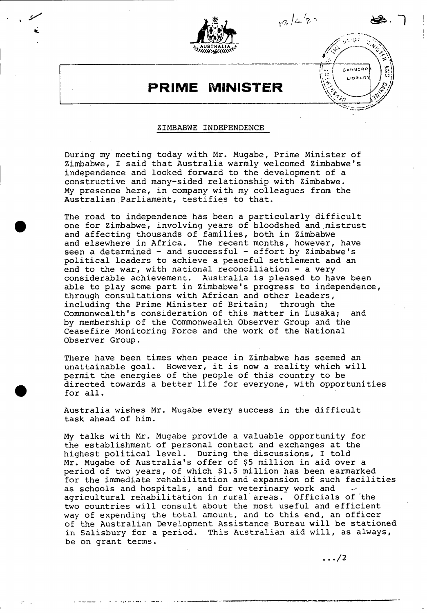

 $12/4$ 

**CANGERA LIBRAR** 

## **PRIME MINISTER**

## ZIMBABWE **INDEPENDENCE**

During my meeting today with Mr. Mugabe, Prime Minister of Zimbabwe, I said that Australia warmly welcomed Zimbabwe's independence and looked forward to the development of a constructive and many-sided relationship with Zimbabwe. **My** presence here, in company with my colleagues from the Australian.Parliament, testifies to that.

The road to independence has been a particularly difficult one for Zimbabwe, involving years of bloodshed and~mistrust and affecting thousands of families, both in Zimbabwe and elsewhere in Africa. The recent months, however, have seen a determined - and successful - effort by Zimbabwe's political leaders to achieve a peaceful settlement and an end to the war, with national reconciliation  $-$  a very considerable achievement. Australia is pleased to have been able to play some part in Zimbabwe's progress to independence, through consultations with African and other leaders, including the Prime Minister of Britain; through the Commonwealth's consideration of this matter in Lusaka; and **by** membership of the Commonwealth Observer Group and the Ceasefire monitoring Force and the work of the National observer Group.

There have been times when peace in Zimbabwe has seemed an unattainable goal. However, it is now a reality which will permit the energies of the people of this country to be directed towards a better life for everyone, with opportunities for all.

Australia wishes Mr. Mugabe every success in the difficult task ahead of him.

**My** talks with Mr. Mugabe provide a valuable opportunity for the establishment of personal contact and exchanges at the highest political level. During the discussions, I told Mr. Mugabe of Australia's offer of **\$5** million in aid over a period of two years, of which **\$1.5** million has been earmarked for the immediate rehabilitation and expansion of such facilities as schools and hospitals, and for veterinary work and agricultural rehabilitation in rural areas. Officials of the two countries will consult about the most useful and efficient way of expending the total amount, and to this end, an officer of the Australian Development Assistance Bureau will be stationed in Salisbury for a period. This Australian aid will, as always, be on grant terms.

 $\ldots/2$